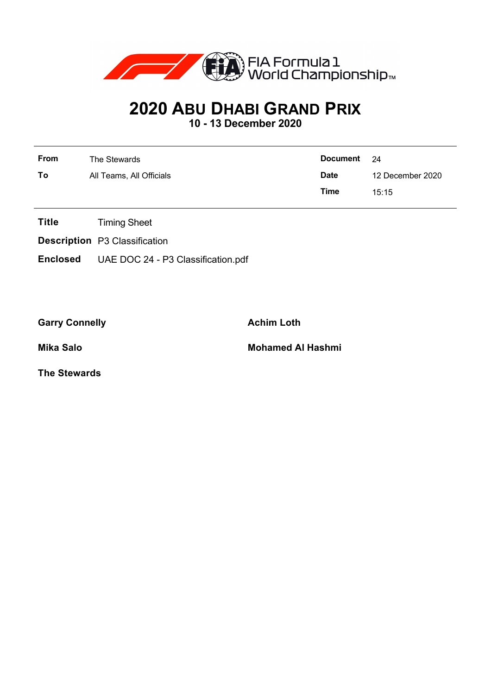

## **2020 ABU DHABI GRAND PRIX**

**10 - 13 December 2020**

| From | The Stewards             | Document    | - 24             |
|------|--------------------------|-------------|------------------|
| To   | All Teams, All Officials | <b>Date</b> | 12 December 2020 |
|      |                          | Time        | 15.15            |

- **Title** Timing Sheet
- **Description** P3 Classification
- **Enclosed** UAE DOC 24 P3 Classification.pdf

Garry Connelly **Achim Loth** 

**Mika Salo Mohamed Al Hashmi**

**The Stewards**